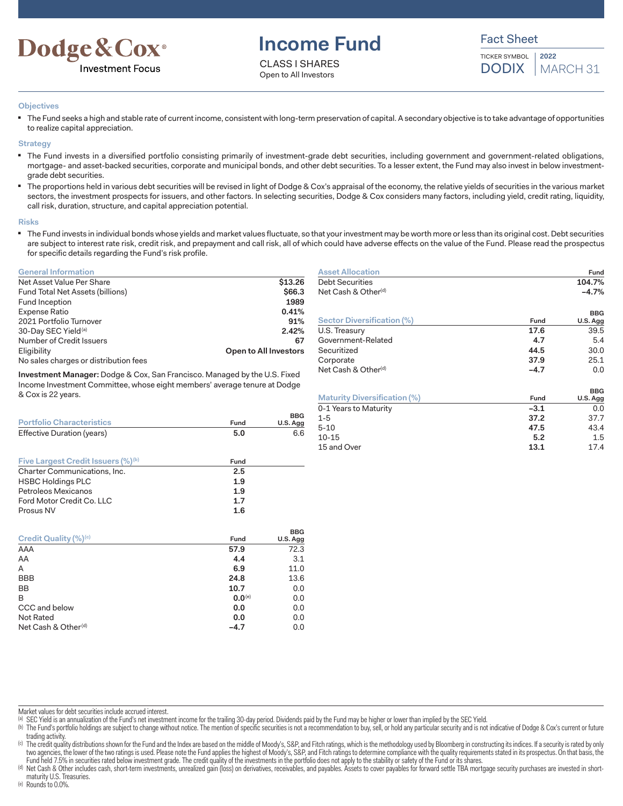

# **Income Fund**

CLASS I SHARES Open to All Investors

Fact Sheet

TICKER SYMBOL DODIX **2022** MARCH 31

#### **Objectives**

The Fund seeks a high and stable rate of current income, consistent with long-term preservation of capital. A secondary objective is to take advantage of opportunities to realize capital appreciation.

# **Strategy**

- The Fund invests in a diversified portfolio consisting primarily of investment-grade debt securities, including government and government-related obligations, mortgage- and asset-backed securities, corporate and municipal bonds, and other debt securities. To a lesser extent, the Fund may also invest in below investmentgrade debt securities.
- The proportions held in various debt securities will be revised in light of Dodge & Cox's appraisal of the economy, the relative yields of securities in the various market sectors, the investment prospects for issuers, and other factors. In selecting securities, Dodge & Cox considers many factors, including yield, credit rating, liquidity, call risk, duration, structure, and capital appreciation potential.

#### **Risks**

■ The Fund invests in individual bonds whose yields and market values fluctuate, so that your investment may be worth more or less than its original cost. Debt securities are subject to interest rate risk, credit risk, and prepayment and call risk, all of which could have adverse effects on the value of the Fund. Please read the prospectus for specific details regarding the Fund's risk profile.

#### **General Information**

| Net Asset Value Per Share             | \$13.26               |
|---------------------------------------|-----------------------|
| Fund Total Net Assets (billions)      | \$66.3                |
| Fund Inception                        | 1989                  |
| Expense Ratio                         | 0.41%                 |
| 2021 Portfolio Turnover               | 91%                   |
| 30-Day SEC Yield <sup>(a)</sup>       | 2.42%                 |
| Number of Credit Issuers              | 67                    |
| Eligibility                           | Open to All Investors |
| No sales charges or distribution fees |                       |

**Investment Manager:** Dodge & Cox, San Francisco. Managed by the U.S. Fixed Income Investment Committee, whose eight members' average tenure at Dodge & Cox is 22 years.

| <b>Portfolio Characteristics</b>               | Fund        | <b>BBG</b><br>U.S. Agg |
|------------------------------------------------|-------------|------------------------|
| Effective Duration (years)                     | 5.0         | 6.6                    |
|                                                |             |                        |
| Five Largest Credit Issuers (%) <sup>(b)</sup> | Fund        |                        |
| Charter Communications, Inc.                   | 2.5         |                        |
| <b>HSBC Holdings PLC</b>                       | 1.9         |                        |
| Petroleos Mexicanos                            | 1.9         |                        |
| Ford Motor Credit Co. LLC                      | 1.7         |                        |
| Prosus NV                                      | 1.6         |                        |
|                                                |             |                        |
|                                                |             | <b>BBG</b>             |
| Credit Quality $(\%)^{(c)}$                    | Fund        | U.S. Agg               |
| AAA                                            | 57.9        | 72.3                   |
| AA                                             | 4.4         | 3.1                    |
| A                                              | 6.9         | 11.0                   |
| <b>BBB</b>                                     | 24.8        | 13.6                   |
|                                                |             |                        |
| BB                                             | 10.7        | 0.0                    |
| B                                              | $0.0^{(e)}$ | 0.0                    |
| CCC and below                                  | 0.0         | 0.0                    |
| <b>Not Rated</b>                               | 0.0         | 0.0                    |

| <b>Asset Allocation</b>             |        | Fund                   |
|-------------------------------------|--------|------------------------|
| <b>Debt Securities</b>              |        | 104.7%                 |
| Net Cash & Other <sup>(d)</sup>     |        | $-4.7%$                |
| <b>Sector Diversification (%)</b>   | Fund   | <b>BBG</b><br>U.S. Agg |
| U.S. Treasury                       | 17.6   | 39.5                   |
| Government-Related                  | 4.7    | 5.4                    |
| Securitized                         | 44.5   | 30.0                   |
| Corporate                           | 37.9   | 25.1                   |
| Net Cash & Other <sup>(d)</sup>     | $-4.7$ | 0.0                    |
| <b>Maturity Diversification (%)</b> | Fund   | <b>BBG</b>             |
| 0-1 Years to Maturity               | $-3.1$ | U.S. Agg<br>0.0        |
| $1 - 5$                             | 37.2   | 37.7                   |
|                                     |        |                        |
| $5 - 10$                            | 47.5   | 43.4                   |
| $10 - 15$                           | 5.2    | $1.5\,$                |
| 15 and Over                         | 13.1   | 17.4                   |

Market values for debt securities include accrued interest.

(a) SEC Yield is an annualization of the Fund's net investment income for the trailing 30-day period. Dividends paid by the Fund may be higher or lower than implied by the SEC Yield.

(b) The Fund's portfolio holdings are subject to change without notice. The mention of specific securities is not a recommendation to buy, sell, or hold any particular security and is not indicative of Dodge & Cox's curren trading activity.

© The credit quality distributions shown for the Fund and the Index are based on the middle of Moody's, S&P, and Fitch ratings, which is the methodology used by Bloomberg in constructing its indices. If a security is rate two agencies, the lower of the two ratings is used. Please note the Fund applies the highest of Moody's, S&P, and Fitch ratings to determine compliance with the quality requirements stated in its prospectus. On that basis, Fund held 7.5% in securities rated below investment grade. The credit quality of the investments in the portfolio does not apply to the stability or safety of the Fund or its shares.

(d) Net Cash & Other includes cash, short-term investments, unrealized gain (loss) on derivatives, receivables, and payables. Assets to cover payables for forward settle TBA mortgage security purchases are invested in shor maturity U.S. Treasuries.

(e) Rounds to 0.0%.